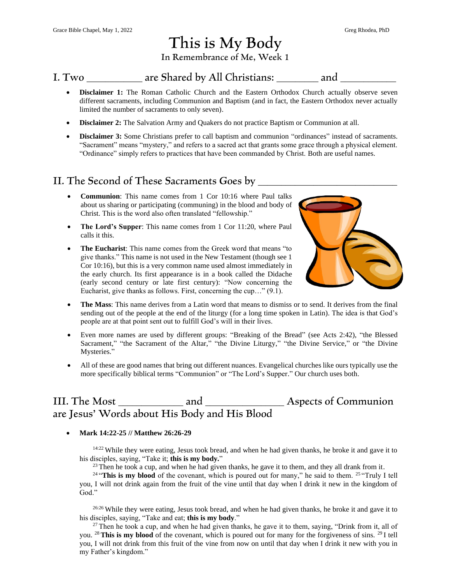# This is My Body

In Remembrance of Me, Week 1

### I. Two **are Shared by All Christians:** and  $\overline{a}$

- **Disclaimer 1:** The Roman Catholic Church and the Eastern Orthodox Church actually observe seven different sacraments, including Communion and Baptism (and in fact, the Eastern Orthodox never actually limited the number of sacraments to only seven).
- **Disclaimer 2:** The Salvation Army and Quakers do not practice Baptism or Communion at all.
- **Disclaimer 3:** Some Christians prefer to call baptism and communion "ordinances" instead of sacraments. "Sacrament" means "mystery," and refers to a sacred act that grants some grace through a physical element. "Ordinance" simply refers to practices that have been commanded by Christ. Both are useful names.

### II. The Second of These Sacraments Goes by

- **Communion**: This name comes from 1 Cor 10:16 where Paul talks about us sharing or participating (communing) in the blood and body of Christ. This is the word also often translated "fellowship."
- **The Lord's Supper**: This name comes from 1 Cor 11:20, where Paul calls it this.
- **The Eucharist**: This name comes from the Greek word that means "to give thanks." This name is not used in the New Testament (though see 1 Cor 10:16), but this is a very common name used almost immediately in the early church. Its first appearance is in a book called the Didache (early second century or late first century): "Now concerning the Eucharist, give thanks as follows. First, concerning the cup…" (9.1).



- **The Mass**: This name derives from a Latin word that means to dismiss or to send. It derives from the final sending out of the people at the end of the liturgy (for a long time spoken in Latin). The idea is that God's people are at that point sent out to fulfill God's will in their lives.
- Even more names are used by different groups: "Breaking of the Bread" (see Acts 2:42), "the Blessed Sacrament," "the Sacrament of the Altar," "the Divine Liturgy," "the Divine Service," or "the Divine Mysteries."
- All of these are good names that bring out different nuances. Evangelical churches like ours typically use the more specifically biblical terms "Communion" or "The Lord's Supper." Our church uses both.

## III. The Most and TII. The Most and Aspects of Communion are Jesus' Words about His Body and His Blood

### • **Mark 14:22-25 // Matthew 26:26-29**

<sup>14:22</sup> While they were eating, Jesus took bread, and when he had given thanks, he broke it and gave it to his disciples, saying, "Take it; **this is my body.**"

 $^{23}$  Then he took a cup, and when he had given thanks, he gave it to them, and they all drank from it.

<sup>24</sup> "This is my blood of the covenant, which is poured out for many," he said to them. <sup>25</sup> "Truly I tell you, I will not drink again from the fruit of the vine until that day when I drink it new in the kingdom of God."

<sup>26:26</sup> While they were eating, Jesus took bread, and when he had given thanks, he broke it and gave it to his disciples, saying, "Take and eat; **this is my body**."

<sup>27</sup> Then he took a cup, and when he had given thanks, he gave it to them, saying, "Drink from it, all of you. <sup>28</sup> **This is my blood** of the covenant, which is poured out for many for the forgiveness of sins. <sup>29</sup> I tell you, I will not drink from this fruit of the vine from now on until that day when I drink it new with you in my Father's kingdom."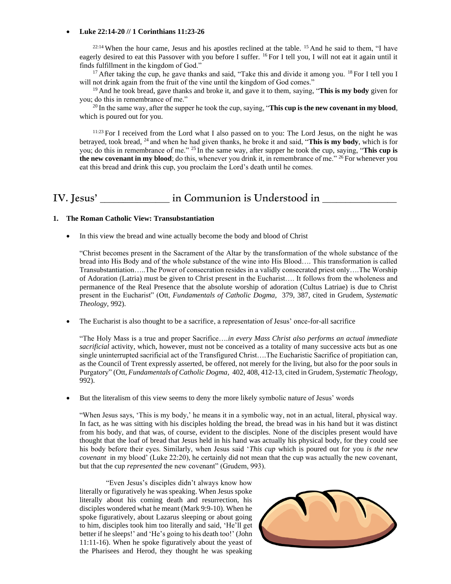#### • **Luke 22:14-20 // 1 Corinthians 11:23-26**

 $22:14$  When the hour came, Jesus and his apostles reclined at the table. <sup>15</sup> And he said to them, "I have eagerly desired to eat this Passover with you before I suffer. <sup>16</sup> For I tell you, I will not eat it again until it finds fulfillment in the kingdom of God."

<sup>17</sup> After taking the cup, he gave thanks and said, "Take this and divide it among you. <sup>18</sup> For I tell you I will not drink again from the fruit of the vine until the kingdom of God comes."

<sup>19</sup> And he took bread, gave thanks and broke it, and gave it to them, saying, "**This is my body** given for you; do this in remembrance of me."

 $^{20}$  In the same way, after the supper he took the cup, saying, "**This cup is the new covenant in my blood**, which is poured out for you.

11:23 For I received from the Lord what I also passed on to you: The Lord Jesus, on the night he was betrayed, took bread, <sup>24</sup> and when he had given thanks, he broke it and said, "**This is my body**, which is for you; do this in remembrance of me." <sup>25</sup> In the same way, after supper he took the cup, saying, "**This cup is the new covenant in my blood**; do this, whenever you drink it, in remembrance of me." <sup>26</sup> For whenever you eat this bread and drink this cup, you proclaim the Lord's death until he comes.

## IV. Jesus' in Communion is Understood in

### **1. The Roman Catholic View: Transubstantiation**

In this view the bread and wine actually become the body and blood of Christ

"Christ becomes present in the Sacrament of the Altar by the transformation of the whole substance of the bread into His Body and of the whole substance of the wine into His Blood…. This transformation is called Transubstantiation…..The Power of consecration resides in a validly consecrated priest only….The Worship of Adoration (Latria) must be given to Christ present in the Eucharist…. It follows from the wholeness and permanence of the Real Presence that the absolute worship of adoration (Cultus Latriae) is due to Christ present in the Eucharist" (Ott, *Fundamentals of Catholic Dogma,* 379, 387, cited in Grudem, *Systematic Theology,* 992).

• The Eucharist is also thought to be a sacrifice, a representation of Jesus' once-for-all sacrifice

"The Holy Mass is a true and proper Sacrifice….*in every Mass Christ also performs an actual immediate sacrificial* activity, which, however, must not be conceived as a totality of many successive acts but as one single uninterrupted sacrificial act of the Transfigured Christ….The Eucharistic Sacrifice of propitiation can, as the Council of Trent expressly asserted, be offered, not merely for the living, but also for the poor souls in Purgatory" (Ott, *Fundamentals of Catholic Dogma,* 402, 408, 412-13, cited in Grudem, *Systematic Theology,*  992).

• But the literalism of this view seems to deny the more likely symbolic nature of Jesus' words

"When Jesus says, 'This is my body,' he means it in a symbolic way, not in an actual, literal, physical way. In fact, as he was sitting with his disciples holding the bread, the bread was in his hand but it was distinct from his body, and that was, of course, evident to the disciples. None of the disciples present would have thought that the loaf of bread that Jesus held in his hand was actually his physical body, for they could see his body before their eyes. Similarly, when Jesus said '*This cup* which is poured out for you *is the new covenant* in my blood' (Luke 22:20), he certainly did not mean that the cup was actually the new covenant, but that the cup *represented* the new covenant" (Grudem, 993).

"Even Jesus's disciples didn't always know how literally or figuratively he was speaking. When Jesus spoke literally about his coming death and resurrection, his disciples wondered what he meant (Mark 9:9-10). When he spoke figuratively, about Lazarus sleeping or about going to him, disciples took him too literally and said, 'He'll get better if he sleeps!' and 'He's going to his death too!' (John 11:11-16). When he spoke figuratively about the yeast of the Pharisees and Herod, they thought he was speaking

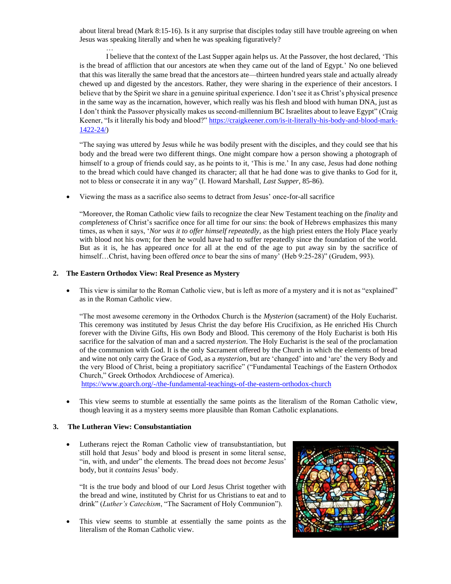about literal bread (Mark 8:15-16). Is it any surprise that disciples today still have trouble agreeing on when Jesus was speaking literally and when he was speaking figuratively?

I believe that the context of the Last Supper again helps us. At the Passover, the host declared, 'This is the bread of affliction that our ancestors ate when they came out of the land of Egypt.' No one believed that this was literally the same bread that the ancestors ate—thirteen hundred years stale and actually already chewed up and digested by the ancestors. Rather, they were sharing in the experience of their ancestors. I believe that by the Spirit we share in a genuine spiritual experience. I don't see it as Christ's physical presence in the same way as the incarnation, however, which really was his flesh and blood with human DNA, just as I don't think the Passover physically makes us second-millennium BC Israelites about to leave Egypt" (Craig Keener, "Is it literally his body and blood?[" https://craigkeener.com/is-it-literally-his-body-and-blood-mark-](https://craigkeener.com/is-it-literally-his-body-and-blood-mark-1422-24/)[1422-24/\)](https://craigkeener.com/is-it-literally-his-body-and-blood-mark-1422-24/)

"The saying was uttered by Jesus while he was bodily present with the disciples, and they could see that his body and the bread were two different things. One might compare how a person showing a photograph of himself to a group of friends could say, as he points to it, 'This is me.' In any case, Jesus had done nothing to the bread which could have changed its character; all that he had done was to give thanks to God for it, not to bless or consecrate it in any way" (I. Howard Marshall, *Last Supper,* 85-86).

• Viewing the mass as a sacrifice also seems to detract from Jesus' once-for-all sacrifice

"Moreover, the Roman Catholic view fails to recognize the clear New Testament teaching on the *finality* and *completeness* of Christ's sacrifice once for all time for our sins: the book of Hebrews emphasizes this many times, as when it says, '*Nor was it to offer himself repeatedly,* as the high priest enters the Holy Place yearly with blood not his own; for then he would have had to suffer repeatedly since the foundation of the world. But as it is, he has appeared *once* for all at the end of the age to put away sin by the sacrifice of himself...Christ, having been offered *once* to bear the sins of many' (Heb 9:25-28)" (Grudem, 993).

### **2. The Eastern Orthodox View: Real Presence as Mystery**

…

• This view is similar to the Roman Catholic view, but is left as more of a mystery and it is not as "explained" as in the Roman Catholic view.

"The most awesome ceremony in the Orthodox Church is the *Mysterion* (sacrament) of the Holy Eucharist. This ceremony was instituted by Jesus Christ the day before His Crucifixion, as He enriched His Church forever with the Divine Gifts, His own Body and Blood. This ceremony of the Holy Eucharist is both His sacrifice for the salvation of man and a sacred *mysterion*. The Holy Eucharist is the seal of the proclamation of the communion with God. It is the only Sacrament offered by the Church in which the elements of bread and wine not only carry the Grace of God, as a *mysterion*, but are 'changed' into and 'are' the very Body and the very Blood of Christ, being a propitiatory sacrifice" ("Fundamental Teachings of the Eastern Orthodox Church," Greek Orthodox Archdiocese of America).

<https://www.goarch.org/-/the-fundamental-teachings-of-the-eastern-orthodox-church>

This view seems to stumble at essentially the same points as the literalism of the Roman Catholic view, though leaving it as a mystery seems more plausible than Roman Catholic explanations.

#### **3. The Lutheran View: Consubstantiation**

• Lutherans reject the Roman Catholic view of transubstantiation, but still hold that Jesus' body and blood is present in some literal sense, "in, with, and under" the elements. The bread does not *become* Jesus' body, but it *contains* Jesus' body.

"It is the true body and blood of our Lord Jesus Christ together with the bread and wine, instituted by Christ for us Christians to eat and to drink" (*Luther's Catechism*, "The Sacrament of Holy Communion").

This view seems to stumble at essentially the same points as the literalism of the Roman Catholic view.